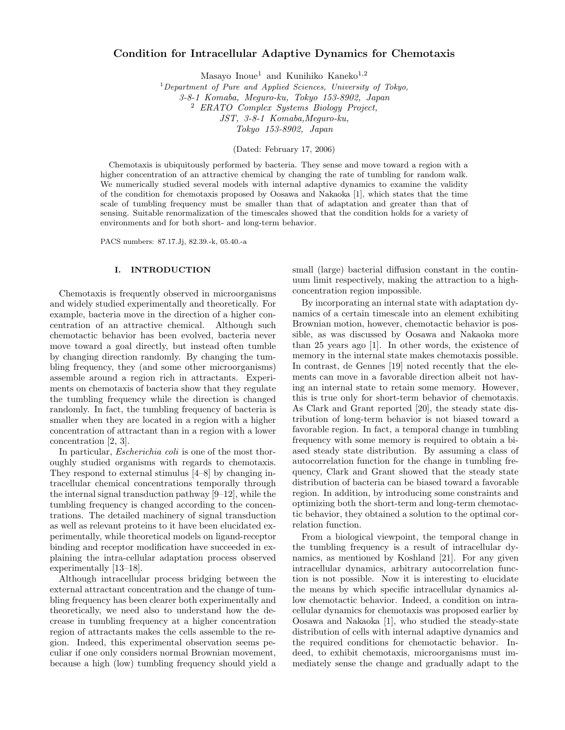# Condition for Intracellular Adaptive Dynamics for Chemotaxis

Masayo Inoue<sup>1</sup> and Kunihiko Kaneko<sup>1,2</sup>

 $1$ Department of Pure and Applied Sciences, University of Tokyo, 3-8-1 Komaba, Meguro-ku, Tokyo 153-8902, Japan <sup>2</sup> ERATO Complex Systems Biology Project, JST, 3-8-1 Komaba,Meguro-ku, Tokyo 153-8902, Japan

(Dated: February 17, 2006)

Chemotaxis is ubiquitously performed by bacteria. They sense and move toward a region with a higher concentration of an attractive chemical by changing the rate of tumbling for random walk. We numerically studied several models with internal adaptive dynamics to examine the validity of the condition for chemotaxis proposed by Oosawa and Nakaoka [1], which states that the time scale of tumbling frequency must be smaller than that of adaptation and greater than that of sensing. Suitable renormalization of the timescales showed that the condition holds for a variety of environments and for both short- and long-term behavior.

PACS numbers: 87.17.Jj, 82.39.-k, 05.40.-a

## I. INTRODUCTION

Chemotaxis is frequently observed in microorganisms and widely studied experimentally and theoretically. For example, bacteria move in the direction of a higher concentration of an attractive chemical. Although such chemotactic behavior has been evolved, bacteria never move toward a goal directly, but instead often tumble by changing direction randomly. By changing the tumbling frequency, they (and some other microorganisms) assemble around a region rich in attractants. Experiments on chemotaxis of bacteria show that they regulate the tumbling frequency while the direction is changed randomly. In fact, the tumbling frequency of bacteria is smaller when they are located in a region with a higher concentration of attractant than in a region with a lower concentration [2, 3].

In particular, *Escherichia coli* is one of the most thoroughly studied organisms with regards to chemotaxis. They respond to external stimulus [4–8] by changing intracellular chemical concentrations temporally through the internal signal transduction pathway [9–12], while the tumbling frequency is changed according to the concentrations. The detailed machinery of signal transduction as well as relevant proteins to it have been elucidated experimentally, while theoretical models on ligand-receptor binding and receptor modification have succeeded in explaining the intra-cellular adaptation process observed experimentally [13–18].

Although intracellular process bridging between the external attractant concentration and the change of tumbling frequency has been clearer both experimentally and theoretically, we need also to understand how the decrease in tumbling frequency at a higher concentration region of attractants makes the cells assemble to the region. Indeed, this experimental observation seems peculiar if one only considers normal Brownian movement, because a high (low) tumbling frequency should yield a small (large) bacterial diffusion constant in the continuum limit respectively, making the attraction to a highconcentration region impossible.

By incorporating an internal state with adaptation dynamics of a certain timescale into an element exhibiting Brownian motion, however, chemotactic behavior is possible, as was discussed by Oosawa and Nakaoka more than 25 years ago [1]. In other words, the existence of memory in the internal state makes chemotaxis possible. In contrast, de Gennes [19] noted recently that the elements can move in a favorable direction albeit not having an internal state to retain some memory. However, this is true only for short-term behavior of chemotaxis. As Clark and Grant reported [20], the steady state distribution of long-term behavior is not biased toward a favorable region. In fact, a temporal change in tumbling frequency with some memory is required to obtain a biased steady state distribution. By assuming a class of autocorrelation function for the change in tumbling frequency, Clark and Grant showed that the steady state distribution of bacteria can be biased toward a favorable region. In addition, by introducing some constraints and optimizing both the short-term and long-term chemotactic behavior, they obtained a solution to the optimal correlation function.

From a biological viewpoint, the temporal change in the tumbling frequency is a result of intracellular dynamics, as mentioned by Koshland [21]. For any given intracellular dynamics, arbitrary autocorrelation function is not possible. Now it is interesting to elucidate the means by which specific intracellular dynamics allow chemotactic behavior. Indeed, a condition on intracellular dynamics for chemotaxis was proposed earlier by Oosawa and Nakaoka [1], who studied the steady-state distribution of cells with internal adaptive dynamics and the required conditions for chemotactic behavior. Indeed, to exhibit chemotaxis, microorganisms must immediately sense the change and gradually adapt to the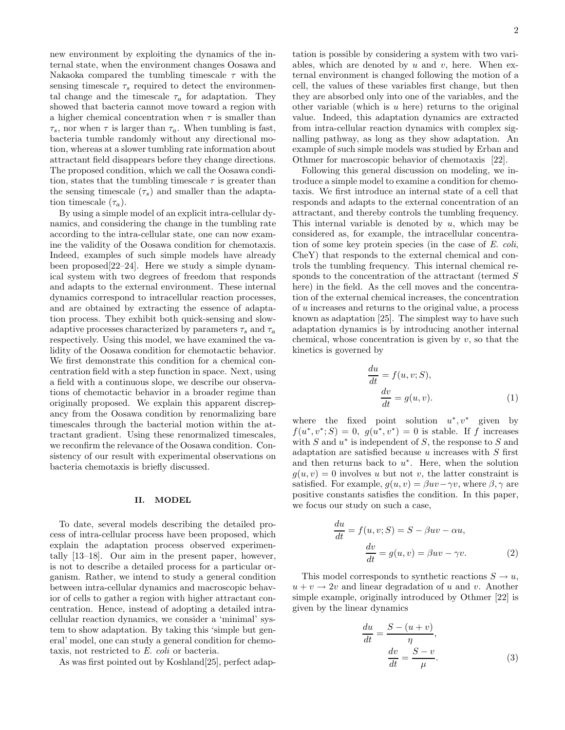new environment by exploiting the dynamics of the internal state, when the environment changes Oosawa and Nakaoka compared the tumbling timescale  $\tau$  with the sensing timescale  $\tau_s$  required to detect the environmental change and the timescale  $\tau_a$  for adaptation. They showed that bacteria cannot move toward a region with a higher chemical concentration when  $\tau$  is smaller than  $\tau_s$ , nor when  $\tau$  is larger than  $\tau_a$ . When tumbling is fast, bacteria tumble randomly without any directional motion, whereas at a slower tumbling rate information about attractant field disappears before they change directions. The proposed condition, which we call the Oosawa condition, states that the tumbling timescale  $\tau$  is greater than the sensing timescale  $(\tau_s)$  and smaller than the adaptation timescale  $(\tau_a)$ .

By using a simple model of an explicit intra-cellular dynamics, and considering the change in the tumbling rate according to the intra-cellular state, one can now examine the validity of the Oosawa condition for chemotaxis. Indeed, examples of such simple models have already been proposed[22–24]. Here we study a simple dynamical system with two degrees of freedom that responds and adapts to the external environment. These internal dynamics correspond to intracellular reaction processes, and are obtained by extracting the essence of adaptation process. They exhibit both quick-sensing and slowadaptive processes characterized by parameters  $\tau_s$  and  $\tau_a$ respectively. Using this model, we have examined the validity of the Oosawa condition for chemotactic behavior. We first demonstrate this condition for a chemical concentration field with a step function in space. Next, using a field with a continuous slope, we describe our observations of chemotactic behavior in a broader regime than originally proposed. We explain this apparent discrepancy from the Oosawa condition by renormalizing bare timescales through the bacterial motion within the attractant gradient. Using these renormalized timescales, we reconfirm the relevance of the Oosawa condition. Consistency of our result with experimental observations on bacteria chemotaxis is briefly discussed.

#### II. MODEL

To date, several models describing the detailed process of intra-cellular process have been proposed, which explain the adaptation process observed experimentally [13–18]. Our aim in the present paper, however, is not to describe a detailed process for a particular organism. Rather, we intend to study a general condition between intra-cellular dynamics and macroscopic behavior of cells to gather a region with higher attractant concentration. Hence, instead of adopting a detailed intracellular reaction dynamics, we consider a 'minimal' system to show adaptation. By taking this 'simple but general' model, one can study a general condition for chemotaxis, not restricted to E. coli or bacteria.

As was first pointed out by Koshland[25], perfect adap-

tation is possible by considering a system with two variables, which are denoted by  $u$  and  $v$ , here. When external environment is changed following the motion of a cell, the values of these variables first change, but then they are absorbed only into one of the variables, and the other variable (which is  $u$  here) returns to the original value. Indeed, this adaptation dynamics are extracted from intra-cellular reaction dynamics with complex signalling pathway, as long as they show adaptation. An example of such simple models was studied by Erban and Othmer for macroscopic behavior of chemotaxis [22].

Following this general discussion on modeling, we introduce a simple model to examine a condition for chemotaxis. We first introduce an internal state of a cell that responds and adapts to the external concentration of an attractant, and thereby controls the tumbling frequency. This internal variable is denoted by  $u$ , which may be considered as, for example, the intracellular concentration of some key protein species (in the case of E. coli, CheY) that responds to the external chemical and controls the tumbling frequency. This internal chemical responds to the concentration of the attractant (termed S here) in the field. As the cell moves and the concentration of the external chemical increases, the concentration of u increases and returns to the original value, a process known as adaptation [25]. The simplest way to have such adaptation dynamics is by introducing another internal chemical, whose concentration is given by  $v$ , so that the kinetics is governed by

$$
\frac{du}{dt} = f(u, v; S),
$$

$$
\frac{dv}{dt} = g(u, v).
$$
(1)

where the fixed point solution  $u^*, v^*$  given by  $f(u^*, v^*; S) = 0, g(u^*, v^*) = 0$  is stable. If f increases with S and  $u^*$  is independent of S, the response to S and adaptation are satisfied because  $u$  increases with  $S$  first and then returns back to  $u^*$ . Here, when the solution  $q(u, v) = 0$  involves u but not v, the latter constraint is satisfied. For example,  $g(u, v) = \beta uv - \gamma v$ , where  $\beta, \gamma$  are positive constants satisfies the condition. In this paper, we focus our study on such a case,

$$
\frac{du}{dt} = f(u, v; S) = S - \beta uv - \alpha u,
$$

$$
\frac{dv}{dt} = g(u, v) = \beta uv - \gamma v.
$$
(2)

This model corresponds to synthetic reactions  $S \to u$ ,  $u + v \rightarrow 2v$  and linear degradation of u and v. Another simple example, originally introduced by Othmer [22] is given by the linear dynamics

$$
\frac{du}{dt} = \frac{S - (u + v)}{\eta},
$$

$$
\frac{dv}{dt} = \frac{S - v}{\mu}.
$$
(3)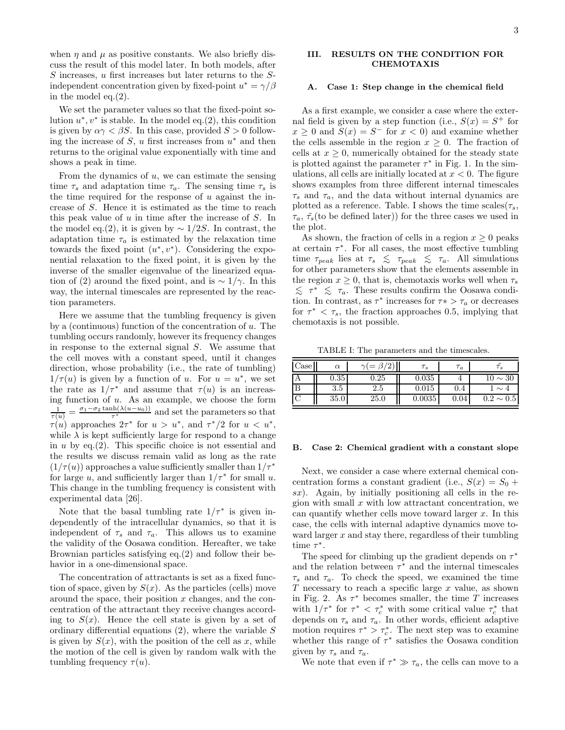when  $\eta$  and  $\mu$  as positive constants. We also briefly discuss the result of this model later. In both models, after S increases, u first increases but later returns to the Sindependent concentration given by fixed-point  $u^* = \gamma/\beta$ in the model eq.(2).

We set the parameter values so that the fixed-point solution  $u^*, v^*$  is stable. In the model eq.(2), this condition is given by  $\alpha \gamma < \beta S$ . In this case, provided  $S > 0$  following the increase of S, u first increases from  $u^*$  and then returns to the original value exponentially with time and shows a peak in time.

From the dynamics of  $u$ , we can estimate the sensing time  $\tau_s$  and adaptation time  $\tau_a$ . The sensing time  $\tau_s$  is the time required for the response of  $u$  against the increase of S. Hence it is estimated as the time to reach this peak value of  $u$  in time after the increase of  $S$ . In the model eq.(2), it is given by  $\sim 1/2S$ . In contrast, the adaptation time  $\tau_a$  is estimated by the relaxation time towards the fixed point  $(u^*, v^*)$ . Considering the exponential relaxation to the fixed point, it is given by the inverse of the smaller eigenvalue of the linearized equation of (2) around the fixed point, and is  $\sim 1/\gamma$ . In this way, the internal timescales are represented by the reaction parameters.

Here we assume that the tumbling frequency is given by a (continuous) function of the concentration of  $u$ . The tumbling occurs randomly, however its frequency changes in response to the external signal S. We assume that the cell moves with a constant speed, until it changes direction, whose probability (i.e., the rate of tumbling)  $1/\tau(u)$  is given by a function of u. For  $u = u^*$ , we set the rate as  $1/\tau^*$  and assume that  $\tau(u)$  is an increasing function of u. As an example, we choose the form  $\frac{1}{\tau(u)} = \frac{\sigma_1 - \sigma_2 \tanh(\lambda(u-u_0))}{\tau^*}$  $\frac{\ln(\lambda(u-u_0))}{\tau^*}$  and set the parameters so that  $\tau(u)$  approaches  $2\tau^*$  for  $u > u^*$ , and  $\tau^*/2$  for  $u < u^*$ , while  $\lambda$  is kept sufficiently large for respond to a change in u by eq.(2). This specific choice is not essential and the results we discuss remain valid as long as the rate  $(1/\tau(u))$  approaches a value sufficiently smaller than  $1/\tau^*$ for large u, and sufficiently larger than  $1/\tau^*$  for small u. This change in the tumbling frequency is consistent with experimental data [26].

Note that the basal tumbling rate  $1/\tau^*$  is given independently of the intracellular dynamics, so that it is independent of  $\tau_s$  and  $\tau_a$ . This allows us to examine the validity of the Oosawa condition. Hereafter, we take Brownian particles satisfying eq.(2) and follow their behavior in a one-dimensional space.

The concentration of attractants is set as a fixed function of space, given by  $S(x)$ . As the particles (cells) move around the space, their position  $x$  changes, and the concentration of the attractant they receive changes according to  $S(x)$ . Hence the cell state is given by a set of ordinary differential equations  $(2)$ , where the variable S is given by  $S(x)$ , with the position of the cell as x, while the motion of the cell is given by random walk with the tumbling frequency  $\tau(u)$ .

## III. RESULTS ON THE CONDITION FOR CHEMOTAXIS

## A. Case 1: Step change in the chemical field

As a first example, we consider a case where the external field is given by a step function (i.e.,  $S(x) = S^+$  for  $x \geq 0$  and  $S(x) = S^{-}$  for  $x < 0$ ) and examine whether the cells assemble in the region  $x \geq 0$ . The fraction of cells at  $x \geq 0$ , numerically obtained for the steady state is plotted against the parameter  $\tau^*$  in Fig. 1. In the simulations, all cells are initially located at  $x < 0$ . The figure shows examples from three different internal timescales  $\tau_s$  and  $\tau_a$ , and the data without internal dynamics are plotted as a reference. Table. I shows the time scales  $(\tau_s,$  $\tau_a$ ,  $\tilde{\tau}_s$ (to be defined later)) for the three cases we used in the plot.

As shown, the fraction of cells in a region  $x \geq 0$  peaks at certain  $\tau^*$ . For all cases, the most effective tumbling time  $\tau_{peak}$  lies at  $\tau_s \leq \tau_{peak} \leq \tau_a$ . All simulations for other parameters show that the elements assemble in the region  $x \geq 0$ , that is, chemotaxis works well when  $\tau_s$  $\lesssim \tau^*$  ≤  $\tau_a$ . These results confirm the Oosawa condition. In contrast, as  $\tau^*$  increases for  $\tau^* > \tau_a$  or decreases for  $\tau^* < \tau_s$ , the fraction approaches 0.5, implying that chemotaxis is not possible.

TABLE I: The parameters and the timescales.

| Case | $_{\alpha}$ | $\gamma$ (= $\beta$ /2) | $T_{\rm s}$ | $\tau_a$ |                |
|------|-------------|-------------------------|-------------|----------|----------------|
|      | 0.35        | $\rm 0.25$              | 0.035       |          | $10\sim30$     |
|      | $3.5\,$     | 2.5                     | 0.015       | 0.4      |                |
|      | 35.0        | 25.0                    | 0.0035      | 0.04     | $0.2 \sim 0.5$ |

#### B. Case 2: Chemical gradient with a constant slope

Next, we consider a case where external chemical concentration forms a constant gradient (i.e.,  $S(x) = S_0 +$  $sx$ ). Again, by initially positioning all cells in the region with small  $x$  with low attractant concentration, we can quantify whether cells move toward larger  $x$ . In this case, the cells with internal adaptive dynamics move toward larger  $x$  and stay there, regardless of their tumbling time  $\tau^*$ .

The speed for climbing up the gradient depends on  $\tau^*$ and the relation between  $\tau^*$  and the internal timescales  $\tau_s$  and  $\tau_a$ . To check the speed, we examined the time  $T$  necessary to reach a specific large  $x$  value, as shown in Fig. 2. As  $\tau^*$  becomes smaller, the time T increases with  $1/\tau^*$  for  $\tau^* < \tau_c^*$  with some critical value  $\tau_c^*$  that depends on  $\tau_s$  and  $\tau_a.$  In other words, efficient adaptive motion requires  $\tau^* > \tau_c^*$ . The next step was to examine whether this range of  $\tau^*$  satisfies the Oosawa condition given by  $\tau_s$  and  $\tau_a$ .

We note that even if  $\tau^* \gg \tau_a$ , the cells can move to a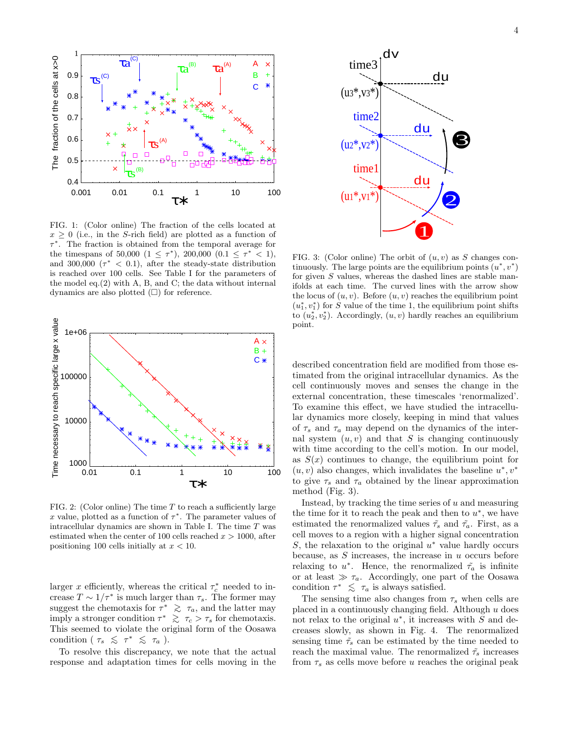

FIG. 1: (Color online) The fraction of the cells located at  $x \geq 0$  (i.e., in the S-rich field) are plotted as a function of τ ∗ . The fraction is obtained from the temporal average for the timespans of 50,000  $(1 \leq \tau^*)$ , 200,000  $(0.1 \leq \tau^* \leq 1)$ , and 300,000  $(\tau^* < 0.1)$ , after the steady-state distribution is reached over 100 cells. See Table I for the parameters of the model eq.(2) with A, B, and C; the data without internal dynamics are also plotted  $(\Box)$  for reference.



FIG. 2: (Color online) The time  $T$  to reach a sufficiently large x value, plotted as a function of  $\tau^*$ . The parameter values of intracellular dynamics are shown in Table I. The time  $T$  was estimated when the center of 100 cells reached  $x > 1000$ , after positioning 100 cells initially at  $x < 10$ .

larger x efficiently, whereas the critical  $\tau_c^*$  needed to increase  $T \sim 1/\tau^*$  is much larger than  $\tau_s$ . The former may suggest the chemotaxis for  $\tau^*$   $\geq \tau_a$ , and the latter may imply a stronger condition  $\tau^* \gtrsim \tau_c > \tau_s$  for chemotaxis. This seemed to violate the original form of the Oosawa condition (  $\tau_s \leqslant \tau^* \leqslant \tau_a$  ).

To resolve this discrepancy, we note that the actual response and adaptation times for cells moving in the



FIG. 3: (Color online) The orbit of  $(u, v)$  as S changes continuously. The large points are the equilibrium points  $(u^*, v^*)$ for given S values, whereas the dashed lines are stable manifolds at each time. The curved lines with the arrow show the locus of  $(u, v)$ . Before  $(u, v)$  reaches the equilibrium point  $(u_1^*, v_1^*)$  for S value of the time 1, the equilibrium point shifts to  $(u_2^*, v_2^*)$ . Accordingly,  $(u, v)$  hardly reaches an equilibrium point.

described concentration field are modified from those estimated from the original intracellular dynamics. As the cell continuously moves and senses the change in the external concentration, these timescales 'renormalized'. To examine this effect, we have studied the intracellular dynamics more closely, keeping in mind that values of  $\tau_s$  and  $\tau_a$  may depend on the dynamics of the internal system  $(u, v)$  and that S is changing continuously with time according to the cell's motion. In our model, as  $S(x)$  continues to change, the equilibrium point for  $(u, v)$  also changes, which invalidates the baseline  $u^*, v^*$ to give  $\tau_s$  and  $\tau_a$  obtained by the linear approximation method (Fig. 3).

Instead, by tracking the time series of  $u$  and measuring the time for it to reach the peak and then to  $u^*$ , we have estimated the renormalized values  $\tilde{\tau}_s$  and  $\tilde{\tau}_a$ . First, as a cell moves to a region with a higher signal concentration S, the relaxation to the original  $u^*$  value hardly occurs because, as  $S$  increases, the increase in  $u$  occurs before relaxing to  $u^*$ . Hence, the renormalized  $\tilde{\tau}_a$  is infinite or at least  $\gg \tau_a$ . Accordingly, one part of the Oosawa condition  $\tau^* \leq \tau_a$  is always satisfied.

The sensing time also changes from  $\tau_s$  when cells are placed in a continuously changing field. Although  $u$  does not relax to the original  $u^*$ , it increases with  $\tilde{S}$  and decreases slowly, as shown in Fig. 4. The renormalized sensing time  $\tilde{\tau}_s$  can be estimated by the time needed to reach the maximal value. The renormalized  $\tilde{\tau}_s$  increases from  $\tau_s$  as cells move before u reaches the original peak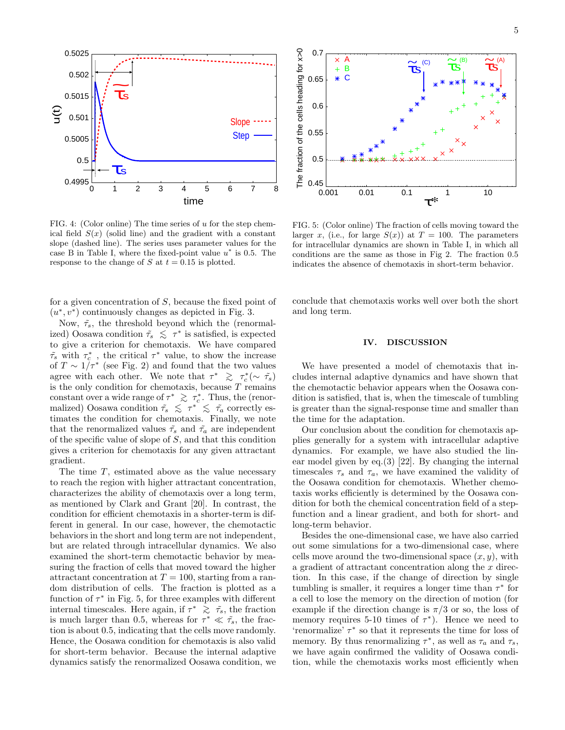

FIG. 4: (Color online) The time series of  $u$  for the step chemical field  $S(x)$  (solid line) and the gradient with a constant slope (dashed line). The series uses parameter values for the case B in Table I, where the fixed-point value  $u^*$  is 0.5. The response to the change of S at  $t = 0.15$  is plotted.

for a given concentration of  $S$ , because the fixed point of  $(u^*, v^*)$  continuously changes as depicted in Fig. 3.

Now,  $\tilde{\tau}_s$ , the threshold beyond which the (renormalized) Oosawa condition  $\tilde{\tau}_s \leq \tau^*$  is satisfied, is expected to give a criterion for chemotaxis. We have compared  $\tilde{\tau_s}$  with  $\tau_c^*$ , the critical  $\tau^*$  value, to show the increase of  $T \sim 1/\tau^*$  (see Fig. 2) and found that the two values agree with each other. We note that  $\tau^*$   $\geq \tau_c^*(\sim \tilde{\tau_s})$ is the only condition for chemotaxis, because  $T$  remains constant over a wide range of  $\tau^* \geq \tau_c^*$ . Thus, the (renormalized) Oosawa condition  $\tilde{\tau}_s \leq \tau^* \leq \tilde{\tau}_a$  correctly estimates the condition for chemotaxis. Finally, we note that the renormalized values  $\tilde{\tau}_s$  and  $\tilde{\tau}_a$  are independent of the specific value of slope of  $S$ , and that this condition gives a criterion for chemotaxis for any given attractant gradient.

The time  $T$ , estimated above as the value necessary to reach the region with higher attractant concentration, characterizes the ability of chemotaxis over a long term, as mentioned by Clark and Grant [20]. In contrast, the condition for efficient chemotaxis in a shorter-term is different in general. In our case, however, the chemotactic behaviors in the short and long term are not independent, but are related through intracellular dynamics. We also examined the short-term chemotactic behavior by measuring the fraction of cells that moved toward the higher attractant concentration at  $T = 100$ , starting from a random distribution of cells. The fraction is plotted as a function of  $\tau^*$  in Fig. 5, for three examples with different internal timescales. Here again, if  $\tau^*$   $\geq \tau_s$ , the fraction is much larger than 0.5, whereas for  $\tau^* \ll \tilde{\tau}_s$ , the fraction is about 0.5, indicating that the cells move randomly. Hence, the Oosawa condition for chemotaxis is also valid for short-term behavior. Because the internal adaptive dynamics satisfy the renormalized Oosawa condition, we



FIG. 5: (Color online) The fraction of cells moving toward the larger x, (i.e., for large  $S(x)$ ) at  $T = 100$ . The parameters for intracellular dynamics are shown in Table I, in which all conditions are the same as those in Fig 2. The fraction 0.5 indicates the absence of chemotaxis in short-term behavior.

conclude that chemotaxis works well over both the short and long term.

#### IV. DISCUSSION

We have presented a model of chemotaxis that includes internal adaptive dynamics and have shown that the chemotactic behavior appears when the Oosawa condition is satisfied, that is, when the timescale of tumbling is greater than the signal-response time and smaller than the time for the adaptation.

Our conclusion about the condition for chemotaxis applies generally for a system with intracellular adaptive dynamics. For example, we have also studied the linear model given by eq. $(3)$  [22]. By changing the internal timescales  $\tau_s$  and  $\tau_a$ , we have examined the validity of the Oosawa condition for chemotaxis. Whether chemotaxis works efficiently is determined by the Oosawa condition for both the chemical concentration field of a stepfunction and a linear gradient, and both for short- and long-term behavior.

Besides the one-dimensional case, we have also carried out some simulations for a two-dimensional case, where cells move around the two-dimensional space  $(x, y)$ , with a gradient of attractant concentration along the  $x$  direction. In this case, if the change of direction by single tumbling is smaller, it requires a longer time than  $\tau^*$  for a cell to lose the memory on the direction of motion (for example if the direction change is  $\pi/3$  or so, the loss of memory requires 5-10 times of  $\tau^*$ ). Hence we need to 'renormalize'  $\tau^*$  so that it represents the time for loss of memory. By thus renormalizing  $\tau^*$ , as well as  $\tau_a$  and  $\tau_s$ , we have again confirmed the validity of Oosawa condition, while the chemotaxis works most efficiently when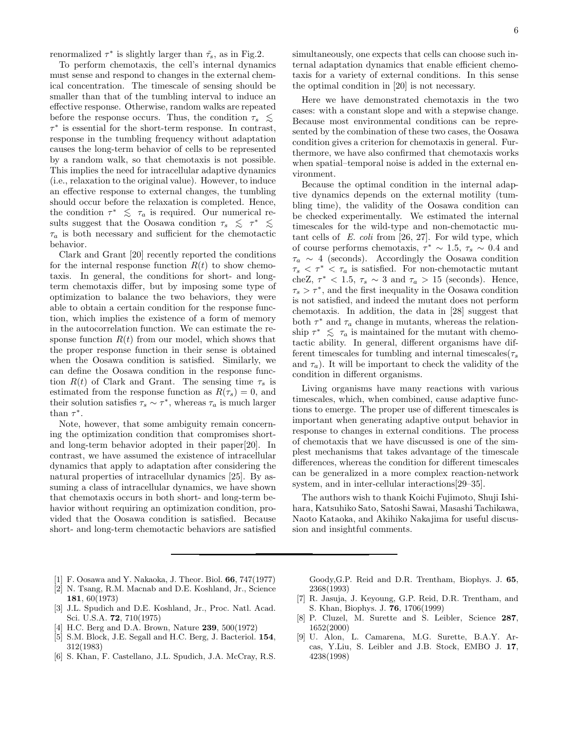renormalized  $\tau^*$  is slightly larger than  $\tilde{\tau}_s$ , as in Fig.2.

To perform chemotaxis, the cell's internal dynamics must sense and respond to changes in the external chemical concentration. The timescale of sensing should be smaller than that of the tumbling interval to induce an effective response. Otherwise, random walks are repeated before the response occurs. Thus, the condition  $\tau_s \leq$  $\tau^*$  is essential for the short-term response. In contrast, response in the tumbling frequency without adaptation causes the long-term behavior of cells to be represented by a random walk, so that chemotaxis is not possible. This implies the need for intracellular adaptive dynamics (i.e., relaxation to the original value). However, to induce an effective response to external changes, the tumbling should occur before the relaxation is completed. Hence, the condition  $\tau^* \leq \tau_a$  is required. Our numerical results suggest that the Oosawa condition  $\tau_s \leq \tau^* \leq$  $\tau_a$  is both necessary and sufficient for the chemotactic behavior.

Clark and Grant [20] recently reported the conditions for the internal response function  $R(t)$  to show chemotaxis. In general, the conditions for short- and longterm chemotaxis differ, but by imposing some type of optimization to balance the two behaviors, they were able to obtain a certain condition for the response function, which implies the existence of a form of memory in the autocorrelation function. We can estimate the response function  $R(t)$  from our model, which shows that the proper response function in their sense is obtained when the Oosawa condition is satisfied. Similarly, we can define the Oosawa condition in the response function  $R(t)$  of Clark and Grant. The sensing time  $\tau_s$  is estimated from the response function as  $R(\tau_s) = 0$ , and their solution satisfies  $\tau_s \sim \tau^*$ , whereas  $\tau_a$  is much larger than  $\tau^*$ .

Note, however, that some ambiguity remain concerning the optimization condition that compromises shortand long-term behavior adopted in their paper[20]. In contrast, we have assumed the existence of intracellular dynamics that apply to adaptation after considering the natural properties of intracellular dynamics [25]. By assuming a class of intracellular dynamics, we have shown that chemotaxis occurs in both short- and long-term behavior without requiring an optimization condition, provided that the Oosawa condition is satisfied. Because short- and long-term chemotactic behaviors are satisfied 6

simultaneously, one expects that cells can choose such internal adaptation dynamics that enable efficient chemotaxis for a variety of external conditions. In this sense the optimal condition in [20] is not necessary.

Here we have demonstrated chemotaxis in the two cases: with a constant slope and with a stepwise change. Because most environmental conditions can be represented by the combination of these two cases, the Oosawa condition gives a criterion for chemotaxis in general. Furthermore, we have also confirmed that chemotaxis works when spatial–temporal noise is added in the external environment.

Because the optimal condition in the internal adaptive dynamics depends on the external motility (tumbling time), the validity of the Oosawa condition can be checked experimentally. We estimated the internal timescales for the wild-type and non-chemotactic mutant cells of E. coli from [26, 27]. For wild type, which of course performs chemotaxis,  $\tau^* \sim 1.5$ ,  $\tau_s \sim 0.4$  and  $\tau_a \sim 4$  (seconds). Accordingly the Oosawa condition  $\tau_s < \tau^* < \tau_a$  is satisfied. For non-chemotactic mutant cheZ,  $\tau^*$  < 1.5,  $\tau_s \sim 3$  and  $\tau_a > 15$  (seconds). Hence,  $\tau_s > \tau^*$ , and the first inequality in the Oosawa condition is not satisfied, and indeed the mutant does not perform chemotaxis. In addition, the data in [28] suggest that both  $\tau^*$  and  $\tau_a$  change in mutants, whereas the relationship  $\tau^* \leq \tau_a$  is maintained for the mutant with chemotactic ability. In general, different organisms have different timescales for tumbling and internal timescales  $(\tau_s)$ and  $\tau_a$ ). It will be important to check the validity of the condition in different organisms.

Living organisms have many reactions with various timescales, which, when combined, cause adaptive functions to emerge. The proper use of different timescales is important when generating adaptive output behavior in response to changes in external conditions. The process of chemotaxis that we have discussed is one of the simplest mechanisms that takes advantage of the timescale differences, whereas the condition for different timescales can be generalized in a more complex reaction-network system, and in inter-cellular interactions[29–35].

The authors wish to thank Koichi Fujimoto, Shuji Ishihara, Katsuhiko Sato, Satoshi Sawai, Masashi Tachikawa, Naoto Kataoka, and Akihiko Nakajima for useful discussion and insightful comments.

- [1] F. Oosawa and Y. Nakaoka, J. Theor. Biol. 66, 747(1977)
- [2] N. Tsang, R.M. Macnab and D.E. Koshland, Jr., Science 181, 60(1973)
- [3] J.L. Spudich and D.E. Koshland, Jr., Proc. Natl. Acad. Sci. U.S.A. 72, 710(1975)
- [4] H.C. Berg and D.A. Brown, Nature 239, 500(1972)
- [5] S.M. Block, J.E. Segall and H.C. Berg, J. Bacteriol. 154, 312(1983)
- [6] S. Khan, F. Castellano, J.L. Spudich, J.A. McCray, R.S.

Goody,G.P. Reid and D.R. Trentham, Biophys. J. 65, 2368(1993)

- [7] R. Jasuja, J. Keyoung, G.P. Reid, D.R. Trentham, and S. Khan, Biophys. J. 76, 1706(1999)
- [8] P. Cluzel, M. Surette and S. Leibler, Science 287, 1652(2000)
- [9] U. Alon, L. Camarena, M.G. Surette, B.A.Y. Arcas, Y.Liu, S. Leibler and J.B. Stock, EMBO J. 17, 4238(1998)